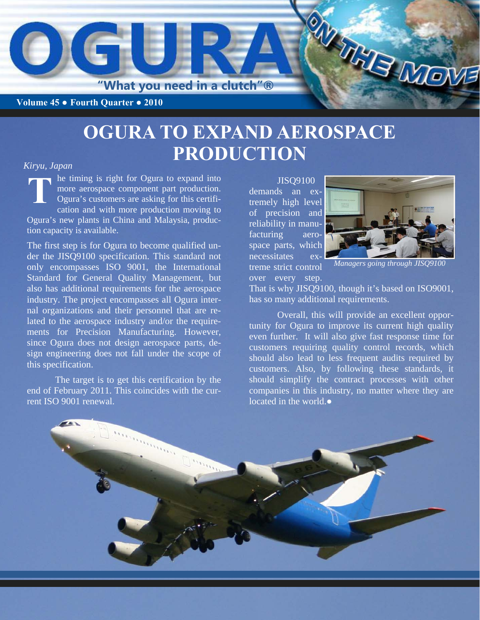

# **PRODUCTION OGURA TO EXPAND AEROSPACE**

#### *Kiryu, Japan*

he timing is right for Ogura to expand into more aerospace component part production. Ogura's customers are asking for this certification and with more production moving to Ogura's new plants in China and Malaysia, production capacity is available. **T** 

The first step is for Ogura to become qualified under the JISQ9100 specification. This standard not only encompasses ISO 9001, the International Standard for General Quality Management, but also has additional requirements for the aerospace industry. The project encompasses all Ogura internal organizations and their personnel that are related to the aerospace industry and/or the requirements for Precision Manufacturing. However, since Ogura does not design aerospace parts, design engineering does not fall under the scope of this specification.

 The target is to get this certification by the end of February 2011. This coincides with the current ISO 9001 renewal.

JISQ9100 demands an extremely high level of precision and reliability in manufacturing aerospace parts, which necessitates extreme strict control over every step.



*Managers going through JISQ9100* 

That is why JISQ9100, though it's based on ISO9001, has so many additional requirements.

 Overall, this will provide an excellent opportunity for Ogura to improve its current high quality even further. It will also give fast response time for customers requiring quality control records, which should also lead to less frequent audits required by customers. Also, by following these standards, it should simplify the contract processes with other companies in this industry, no matter where they are located in the world.●

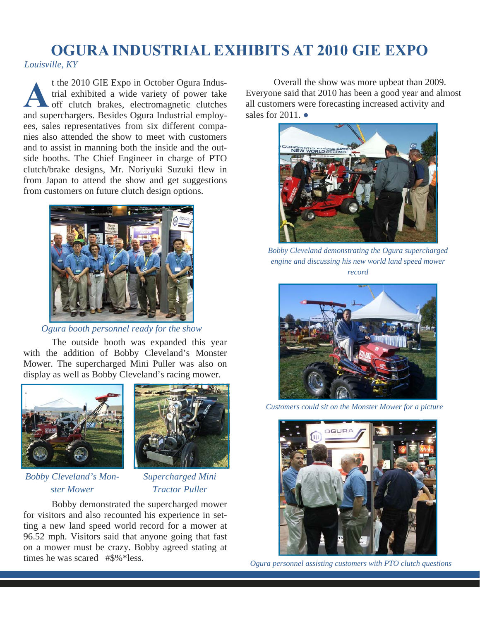### *Louisville, KY*  **OGURA INDUSTRIAL EXHIBITS AT 2010 GIE EXPO**

t the 2010 GIE Expo in October Ogura Industrial exhibited a wide variety of power take off clutch brakes, electromagnetic clutches and superchargers. Besides Ogura Industrial employees, sales representatives from six different companies also attended the show to meet with customers and to assist in manning both the inside and the outside booths. The Chief Engineer in charge of PTO clutch/brake designs, Mr. Noriyuki Suzuki flew in from Japan to attend the show and get suggestions from customers on future clutch design options. t the 2010 GIE Expo in October Ogura Indus-<br>
The show was more upbeat than 2009.<br>
The show was more upbeat than 2009.<br>
The show was more upbeat than 2009.<br>
The show was more upbeat than 2009.<br>
The show was more upbeat than



*Ogura booth personnel ready for the show*

 The outside booth was expanded this year with the addition of Bobby Cleveland's Monster Mower. The supercharged Mini Puller was also on display as well as Bobby Cleveland's racing mower.





*Bobby Cleveland's Monster Mower* 

*Supercharged Mini Tractor Puller* 

 Bobby demonstrated the supercharged mower for visitors and also recounted his experience in setting a new land speed world record for a mower at 96.52 mph. Visitors said that anyone going that fast on a mower must be crazy. Bobby agreed stating at times he was scared #\$%\*less.

Everyone said that 2010 has been a good year and almost all customers were forecasting increased activity and sales for 2011. ●



*Bobby Cleveland demonstrating the Ogura supercharged engine and discussing his new world land speed mower record* 



*Customers could sit on the Monster Mower for a picture* 



*Ogura personnel assisting customers with PTO clutch questions*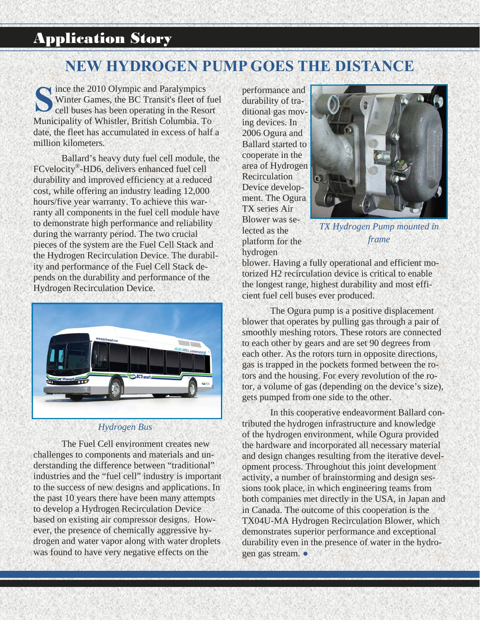## Application Story

## **NEW HYDROGEN PUMP GOES THE DISTANCE**

 $\blacktriangleright$  ince the 2010 Olympic and Paralympics Winter Games, the BC Transit's fleet of fuel cell buses has been operating in the Resort Municipality of Whistler, British Columbia. To date, the fleet has accumulated in excess of half a million kilometers. **S**

Ballard's heavy duty fuel cell module, the FCvelocity®-HD6, delivers enhanced fuel cell durability and improved efficiency at a reduced cost, while offering an industry leading 12,000 hours/five year warranty. To achieve this warranty all components in the fuel cell module have to demonstrate high performance and reliability during the warranty period. The two crucial pieces of the system are the Fuel Cell Stack and the Hydrogen Recirculation Device. The durability and performance of the Fuel Cell Stack depends on the durability and performance of the Hydrogen Recirculation Device.



### *Hydrogen Bus*

 The Fuel Cell environment creates new challenges to components and materials and understanding the difference between "traditional" industries and the "fuel cell" industry is important to the success of new designs and applications. In the past 10 years there have been many attempts to develop a Hydrogen Recirculation Device based on existing air compressor designs. However, the presence of chemically aggressive hydrogen and water vapor along with water droplets was found to have very negative effects on the

performance and durability of traditional gas moving devices. In 2006 Ogura and Ballard started to cooperate in the area of Hydrogen Recirculation Device development. The Ogura TX series Air Blower was selected as the platform for the hydrogen



*TX Hydrogen Pump mounted in frame*

blower. Having a fully operational and efficient motorized H2 recirculation device is critical to enable the longest range, highest durability and most efficient fuel cell buses ever produced.

 The Ogura pump is a positive displacement blower that operates by pulling gas through a pair of smoothly meshing rotors. These rotors are connected to each other by gears and are set 90 degrees from each other. As the rotors turn in opposite directions, gas is trapped in the pockets formed between the rotors and the housing. For every revolution of the rotor, a volume of gas (depending on the device's size), gets pumped from one side to the other.

 In this cooperative endeavorment Ballard contributed the hydrogen infrastructure and knowledge of the hydrogen environment, while Ogura provided the hardware and incorporated all necessary material and design changes resulting from the iterative development process. Throughout this joint development activity, a number of brainstorming and design sessions took place, in which engineering teams from both companies met directly in the USA, in Japan and in Canada. The outcome of this cooperation is the TX04U-MA Hydrogen Recirculation Blower, which demonstrates superior performance and exceptional durability even in the presence of water in the hydrogen gas stream. ●